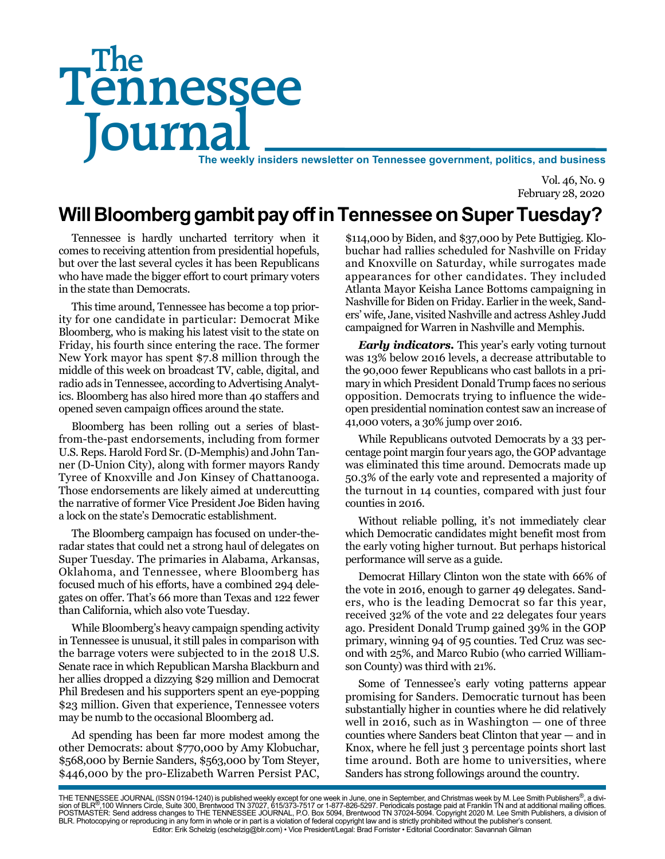# Tennessee **Journal** The weekly insiders newsletter on Tennessee government, politics, and business The

Vol. 46, No. 9 February 28, 2020

## **Will Bloomberg gambit pay off in Tennessee on Super Tuesday?**

Tennessee is hardly uncharted territory when it comes to receiving attention from presidential hopefuls, but over the last several cycles it has been Republicans who have made the bigger effort to court primary voters in the state than Democrats.

This time around, Tennessee has become a top priority for one candidate in particular: Democrat Mike Bloomberg, who is making his latest visit to the state on Friday, his fourth since entering the race. The former New York mayor has spent \$7.8 million through the middle of this week on broadcast TV, cable, digital, and radio ads in Tennessee, according to Advertising Analytics. Bloomberg has also hired more than 40 staffers and opened seven campaign offices around the state.

Bloomberg has been rolling out a series of blastfrom-the-past endorsements, including from former U.S. Reps. Harold Ford Sr. (D-Memphis) and John Tanner (D-Union City), along with former mayors Randy Tyree of Knoxville and Jon Kinsey of Chattanooga. Those endorsements are likely aimed at undercutting the narrative of former Vice President Joe Biden having a lock on the state's Democratic establishment.

The Bloomberg campaign has focused on under-theradar states that could net a strong haul of delegates on Super Tuesday. The primaries in Alabama, Arkansas, Oklahoma, and Tennessee, where Bloomberg has focused much of his efforts, have a combined 294 delegates on offer. That's 66 more than Texas and 122 fewer than California, which also vote Tuesday.

While Bloomberg's heavy campaign spending activity in Tennessee is unusual, it still pales in comparison with the barrage voters were subjected to in the 2018 U.S. Senate race in which Republican Marsha Blackburn and her allies dropped a dizzying \$29 million and Democrat Phil Bredesen and his supporters spent an eye-popping \$23 million. Given that experience, Tennessee voters may be numb to the occasional Bloomberg ad.

Ad spending has been far more modest among the other Democrats: about \$770,000 by Amy Klobuchar, \$568,000 by Bernie Sanders, \$563,000 by Tom Steyer, \$446,000 by the pro-Elizabeth Warren Persist PAC,

\$114,000 by Biden, and \$37,000 by Pete Buttigieg. Klobuchar had rallies scheduled for Nashville on Friday and Knoxville on Saturday, while surrogates made appearances for other candidates. They included Atlanta Mayor Keisha Lance Bottoms campaigning in Nashville for Biden on Friday. Earlier in the week, Sanders' wife, Jane, visited Nashville and actress Ashley Judd campaigned for Warren in Nashville and Memphis.

*Early indicators.* This year's early voting turnout was 13% below 2016 levels, a decrease attributable to the 90,000 fewer Republicans who cast ballots in a primary in which President Donald Trump faces no serious opposition. Democrats trying to influence the wideopen presidential nomination contest saw an increase of 41,000 voters, a 30% jump over 2016.

While Republicans outvoted Democrats by a 33 percentage point margin four years ago, the GOP advantage was eliminated this time around. Democrats made up 50.3% of the early vote and represented a majority of the turnout in 14 counties, compared with just four counties in 2016.

Without reliable polling, it's not immediately clear which Democratic candidates might benefit most from the early voting higher turnout. But perhaps historical performance will serve as a guide.

Democrat Hillary Clinton won the state with 66% of the vote in 2016, enough to garner 49 delegates. Sanders, who is the leading Democrat so far this year, received 32% of the vote and 22 delegates four years ago. President Donald Trump gained 39% in the GOP primary, winning 94 of 95 counties. Ted Cruz was second with 25%, and Marco Rubio (who carried Williamson County) was third with 21%.

Some of Tennessee's early voting patterns appear promising for Sanders. Democratic turnout has been substantially higher in counties where he did relatively well in 2016, such as in Washington — one of three counties where Sanders beat Clinton that year — and in Knox, where he fell just 3 percentage points short last time around. Both are home to universities, where Sanders has strong followings around the country.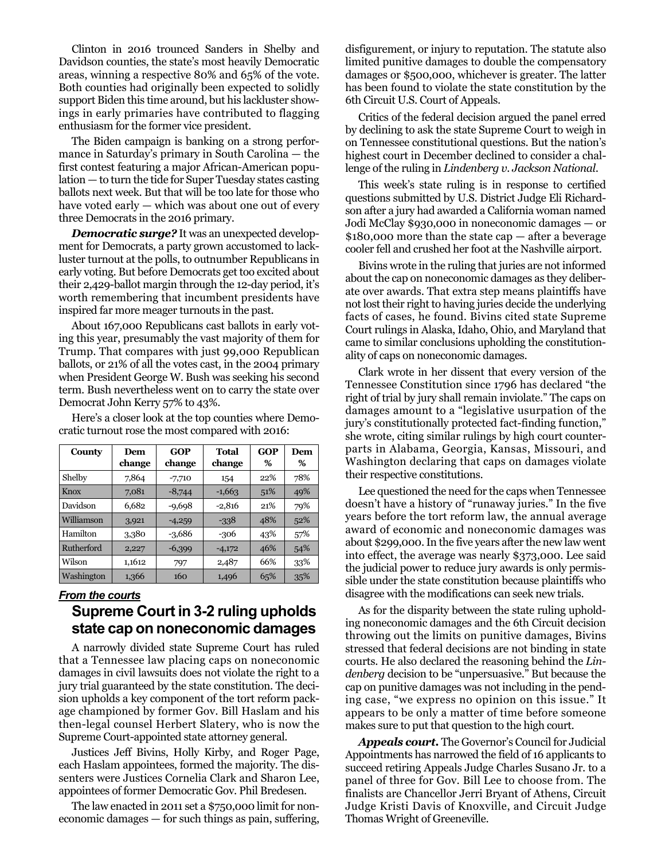Clinton in 2016 trounced Sanders in Shelby and Davidson counties, the state's most heavily Democratic areas, winning a respective 80% and 65% of the vote. Both counties had originally been expected to solidly support Biden this time around, but his lackluster showings in early primaries have contributed to flagging enthusiasm for the former vice president.

The Biden campaign is banking on a strong performance in Saturday's primary in South Carolina — the first contest featuring a major African-American population — to turn the tide for Super Tuesday states casting ballots next week. But that will be too late for those who have voted early — which was about one out of every three Democrats in the 2016 primary.

*Democratic surge?* It was an unexpected development for Democrats, a party grown accustomed to lackluster turnout at the polls, to outnumber Republicans in early voting. But before Democrats get too excited about their 2,429-ballot margin through the 12-day period, it's worth remembering that incumbent presidents have inspired far more meager turnouts in the past.

About 167,000 Republicans cast ballots in early voting this year, presumably the vast majority of them for Trump. That compares with just 99,000 Republican ballots, or 21% of all the votes cast, in the 2004 primary when President George W. Bush was seeking his second term. Bush nevertheless went on to carry the state over Democrat John Kerry 57% to 43%.

**County Dem change GOP change Total change GOP % Dem %** Shelby | 7,864 | -7,710 | 154 | 22% | 78% Knox 7,081 -8,744 -1,663 51% 49% Davidson 6,682 -9,698 -2,816 21% 79%

Williamson 3,921 -4,259 -338 48% 52% Hamilton | 3,380 | -3,686 | -306 | 43% | 57% Rutherford 2,227 -6,399 -4,172 46% 54% Wilson 1,1612 797 2,487 66% 33% Washington 1,366 160 1,496 65% 35%

Here's a closer look at the top counties where Democratic turnout rose the most compared with 2016:

#### *From the courts*

#### **Supreme Court in 3-2 ruling upholds state cap on noneconomic damages**

A narrowly divided state Supreme Court has ruled that a Tennessee law placing caps on noneconomic damages in civil lawsuits does not violate the right to a jury trial guaranteed by the state constitution. The decision upholds a key component of the tort reform package championed by former Gov. Bill Haslam and his then-legal counsel Herbert Slatery, who is now the Supreme Court-appointed state attorney general.

Justices Jeff Bivins, Holly Kirby, and Roger Page, each Haslam appointees, formed the majority. The dissenters were Justices Cornelia Clark and Sharon Lee, appointees of former Democratic Gov. Phil Bredesen.

The law enacted in 2011 set a \$750,000 limit for noneconomic damages — for such things as pain, suffering,

disfigurement, or injury to reputation. The statute also limited punitive damages to double the compensatory damages or \$500,000, whichever is greater. The latter has been found to violate the state constitution by the 6th Circuit U.S. Court of Appeals.

Critics of the federal decision argued the panel erred by declining to ask the state Supreme Court to weigh in on Tennessee constitutional questions. But the nation's highest court in December declined to consider a challenge of the ruling in *Lindenberg v. Jackson National*.

This week's state ruling is in response to certified questions submitted by U.S. District Judge Eli Richardson after a jury had awarded a California woman named Jodi McClay \$930,000 in noneconomic damages — or \$180,000 more than the state cap — after a beverage cooler fell and crushed her foot at the Nashville airport.

Bivins wrote in the ruling that juries are not informed about the cap on noneconomic damages as they deliberate over awards. That extra step means plaintiffs have not lost their right to having juries decide the underlying facts of cases, he found. Bivins cited state Supreme Court rulings in Alaska, Idaho, Ohio, and Maryland that came to similar conclusions upholding the constitutionality of caps on noneconomic damages.

Clark wrote in her dissent that every version of the Tennessee Constitution since 1796 has declared "the right of trial by jury shall remain inviolate." The caps on damages amount to a "legislative usurpation of the jury's constitutionally protected fact-finding function," she wrote, citing similar rulings by high court counterparts in Alabama, Georgia, Kansas, Missouri, and Washington declaring that caps on damages violate their respective constitutions.

Lee questioned the need for the caps when Tennessee doesn't have a history of "runaway juries." In the five years before the tort reform law, the annual average award of economic and noneconomic damages was about \$299,000. In the five years after the new law went into effect, the average was nearly \$373,000. Lee said the judicial power to reduce jury awards is only permissible under the state constitution because plaintiffs who disagree with the modifications can seek new trials.

As for the disparity between the state ruling upholding noneconomic damages and the 6th Circuit decision throwing out the limits on punitive damages, Bivins stressed that federal decisions are not binding in state courts. He also declared the reasoning behind the *Lindenberg* decision to be "unpersuasive." But because the cap on punitive damages was not including in the pending case, "we express no opinion on this issue." It appears to be only a matter of time before someone makes sure to put that question to the high court.

*Appeals court.* The Governor's Council for Judicial Appointments has narrowed the field of 16 applicants to succeed retiring Appeals Judge Charles Susano Jr. to a panel of three for Gov. Bill Lee to choose from. The finalists are Chancellor Jerri Bryant of Athens, Circuit Judge Kristi Davis of Knoxville, and Circuit Judge Thomas Wright of Greeneville.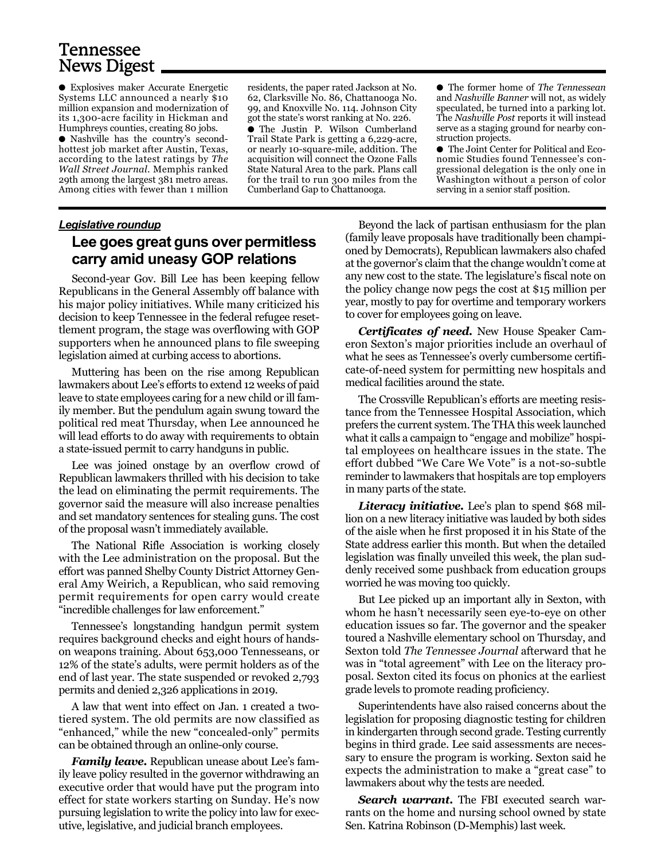## Tennessee News Digest

● Explosives maker Accurate Energetic Systems LLC announced a nearly \$10 million expansion and modernization of its 1,300-acre facility in Hickman and Humphreys counties, creating 80 jobs.

● Nashville has the country's secondhottest job market after Austin, Texas, according to the latest ratings by *The Wall Street Journal.* Memphis ranked 29th among the largest 381 metro areas. Among cities with fewer than 1 million

residents, the paper rated Jackson at No. 62, Clarksville No. 86, Chattanooga No. 99, and Knoxville No. 114. Johnson City got the state's worst ranking at No. 226. ● The Justin P. Wilson Cumberland Trail State Park is getting a 6,229-acre, or nearly 10-square-mile, addition. The acquisition will connect the Ozone Falls State Natural Area to the park. Plans call for the trail to run 300 miles from the Cumberland Gap to Chattanooga.

● The former home of *The Tennessean* and *Nashville Banner* will not, as widely speculated, be turned into a parking lot. The *Nashville Post* reports it will instead serve as a staging ground for nearby construction projects.

● The Joint Center for Political and Economic Studies found Tennessee's congressional delegation is the only one in Washington without a person of color serving in a senior staff position.

#### *Legislative roundup*

#### **Lee goes great guns over permitless carry amid uneasy GOP relations**

Second-year Gov. Bill Lee has been keeping fellow Republicans in the General Assembly off balance with his major policy initiatives. While many criticized his decision to keep Tennessee in the federal refugee resettlement program, the stage was overflowing with GOP supporters when he announced plans to file sweeping legislation aimed at curbing access to abortions.

Muttering has been on the rise among Republican lawmakers about Lee's efforts to extend 12 weeks of paid leave to state employees caring for a new child or ill family member. But the pendulum again swung toward the political red meat Thursday, when Lee announced he will lead efforts to do away with requirements to obtain a state-issued permit to carry handguns in public.

Lee was joined onstage by an overflow crowd of Republican lawmakers thrilled with his decision to take the lead on eliminating the permit requirements. The governor said the measure will also increase penalties and set mandatory sentences for stealing guns. The cost of the proposal wasn't immediately available.

The National Rifle Association is working closely with the Lee administration on the proposal. But the effort was panned Shelby County District Attorney General Amy Weirich, a Republican, who said removing permit requirements for open carry would create "incredible challenges for law enforcement."

Tennessee's longstanding handgun permit system requires background checks and eight hours of handson weapons training. About 653,000 Tennesseans, or 12% of the state's adults, were permit holders as of the end of last year. The state suspended or revoked 2,793 permits and denied 2,326 applications in 2019.

A law that went into effect on Jan. 1 created a twotiered system. The old permits are now classified as "enhanced," while the new "concealed-only" permits can be obtained through an online-only course.

*Family leave.* Republican unease about Lee's family leave policy resulted in the governor withdrawing an executive order that would have put the program into effect for state workers starting on Sunday. He's now pursuing legislation to write the policy into law for executive, legislative, and judicial branch employees.

Beyond the lack of partisan enthusiasm for the plan (family leave proposals have traditionally been championed by Democrats), Republican lawmakers also chafed at the governor's claim that the change wouldn't come at any new cost to the state. The legislature's fiscal note on the policy change now pegs the cost at \$15 million per year, mostly to pay for overtime and temporary workers to cover for employees going on leave.

*Certificates of need.* New House Speaker Cameron Sexton's major priorities include an overhaul of what he sees as Tennessee's overly cumbersome certificate-of-need system for permitting new hospitals and medical facilities around the state.

The Crossville Republican's efforts are meeting resistance from the Tennessee Hospital Association, which prefers the current system. The THA this week launched what it calls a campaign to "engage and mobilize" hospital employees on healthcare issues in the state. The effort dubbed "We Care We Vote" is a not-so-subtle reminder to lawmakers that hospitals are top employers in many parts of the state.

*Literacy initiative.* Lee's plan to spend \$68 million on a new literacy initiative was lauded by both sides of the aisle when he first proposed it in his State of the State address earlier this month. But when the detailed legislation was finally unveiled this week, the plan suddenly received some pushback from education groups worried he was moving too quickly.

But Lee picked up an important ally in Sexton, with whom he hasn't necessarily seen eye-to-eye on other education issues so far. The governor and the speaker toured a Nashville elementary school on Thursday, and Sexton told *The Tennessee Journal* afterward that he was in "total agreement" with Lee on the literacy proposal. Sexton cited its focus on phonics at the earliest grade levels to promote reading proficiency.

Superintendents have also raised concerns about the legislation for proposing diagnostic testing for children in kindergarten through second grade. Testing currently begins in third grade. Lee said assessments are necessary to ensure the program is working. Sexton said he expects the administration to make a "great case" to lawmakers about why the tests are needed.

**Search warrant.** The FBI executed search warrants on the home and nursing school owned by state Sen. Katrina Robinson (D-Memphis) last week.